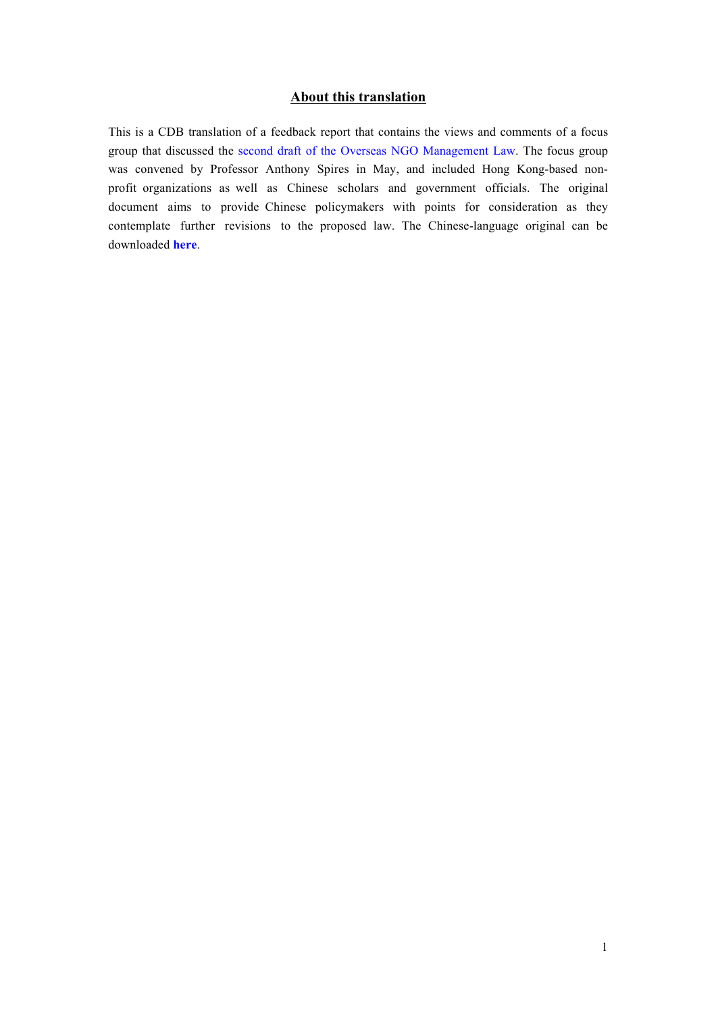#### **About this translation**

This is a CDB translation of a feedback report that contains the views and comments of a focus group that discussed the second draft of the Overseas NGO [Management](http://chinadevelopmentbrief.cn/articles/cdb-english-translation-of-the-overseas-ngo-management-law-second-draft/) Law. The focus group was convened by Professor Anthony Spires in May, and included Hong Kong-based nonprofit organizations as well as Chinese scholars and government officials. The original document aims to provide Chinese policymakers with points for consideration as they contemplate further revisions to the proposed law. The Chine[se-lan](http://anthonyjspires.weebly.com/uploads/3/7/5/2/37525601/%E5%85%B3%E4%BA%8E%E3%80%8A%E5%A2%83%E5%A4%96%E9%9D%9E%E6%94%BF%E5%BA%9C%E7%BB%84%E7%BB%87%E7%AE%A1%E7%90%86%E6%B3%95%EF%BC%88%E8%8D%89%E6%A1%88%E4%BA%8C%E6%AC%A1%E5%AE%A1%E8%AE%AE%E7%A8%BF%EF%BC%89%E3%80%8B%E7%9A%84%E6%84%8F%E8%A7%81%E5%8F%8D%E9%A6%88.pdf)guage original can be downloaded **[here](http://anthonyjspires.weebly.com/uploads/3/7/5/2/37525601/%E5%85%B3%E4%BA%8E%E3%80%8A%E5%A2%83%E5%A4%96%E9%9D%9E%E6%94%BF%E5%BA%9C%E7%BB%84%E7%BB%87%E7%AE%A1%E7%90%86%E6%B3%95%EF%BC%88%E8%8D%89%E6%A1%88%E4%BA%8C%E6%AC%A1%E5%AE%A1%E8%AE%AE%E7%A8%BF%EF%BC%89%E3%80%8B%E7%9A%84%E6%84%8F%E8%A7%81%E5%8F%8D%E9%A6%88.pdf)**.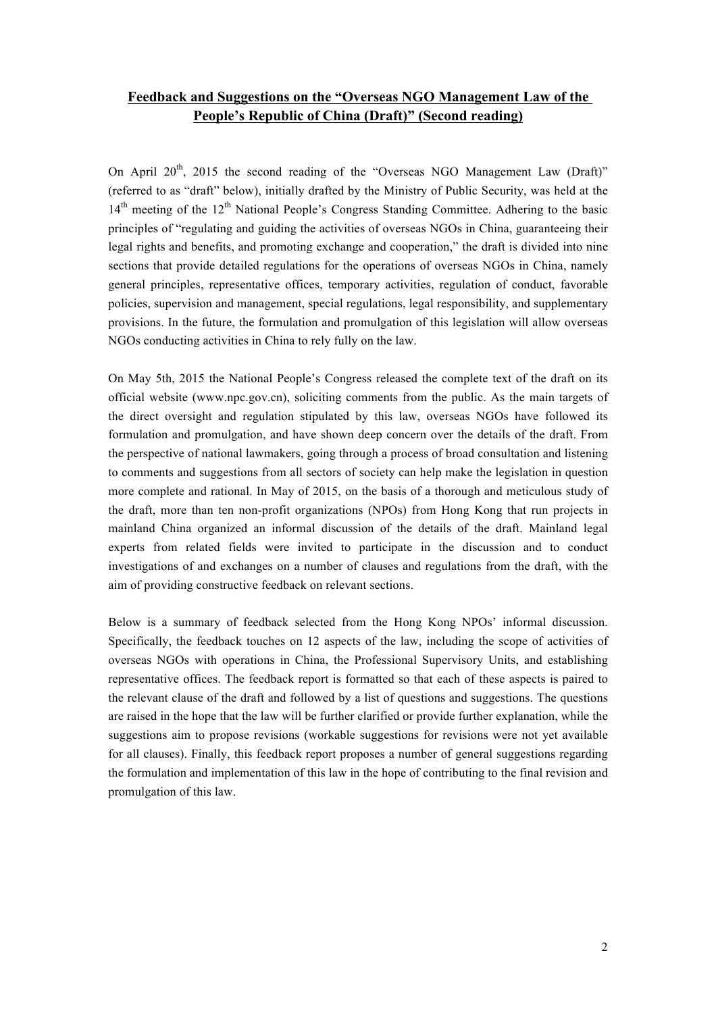# **Feedback and Suggestions on the "Overseas NGO Management Law of the People's Republic of China (Draft)" (Second reading)**

On April  $20^{th}$ , 2015 the second reading of the "Overseas NGO Management Law (Draft)" (referred to as "draft" below), initially drafted by the Ministry of Public Security, was held at the 14<sup>th</sup> meeting of the 12<sup>th</sup> National People's Congress Standing Committee. Adhering to the basic principles of "regulating and guiding the activities of overseas NGOs in China, guaranteeing their legal rights and benefits, and promoting exchange and cooperation," the draft is divided into nine sections that provide detailed regulations for the operations of overseas NGOs in China, namely general principles, representative offices, temporary activities, regulation of conduct, favorable policies, supervision and management, special regulations, legal responsibility, and supplementary provisions. In the future, the formulation and promulgation of this legislation will allow overseas NGOs conducting activities in China to rely fully on the law.

On May 5th, 2015 the National People's Congress released the complete text of the draft on its official website (www.npc.gov.cn), soliciting comments from the public. As the main targets of the direct oversight and regulation stipulated by this law, overseas NGOs have followed its formulation and promulgation, and have shown deep concern over the details of the draft. From the perspective of national lawmakers, going through a process of broad consultation and listening to comments and suggestions from all sectors of society can help make the legislation in question more complete and rational. In May of 2015, on the basis of a thorough and meticulous study of the draft, more than ten non-profit organizations (NPOs) from Hong Kong that run projects in mainland China organized an informal discussion of the details of the draft. Mainland legal experts from related fields were invited to participate in the discussion and to conduct investigations of and exchanges on a number of clauses and regulations from the draft, with the aim of providing constructive feedback on relevant sections.

Below is a summary of feedback selected from the Hong Kong NPOs' informal discussion. Specifically, the feedback touches on 12 aspects of the law, including the scope of activities of overseas NGOs with operations in China, the Professional Supervisory Units, and establishing representative offices. The feedback report is formatted so that each of these aspects is paired to the relevant clause of the draft and followed by a list of questions and suggestions. The questions are raised in the hope that the law will be further clarified or provide further explanation, while the suggestions aim to propose revisions (workable suggestions for revisions were not yet available for all clauses). Finally, this feedback report proposes a number of general suggestions regarding the formulation and implementation of this law in the hope of contributing to the final revision and promulgation of this law.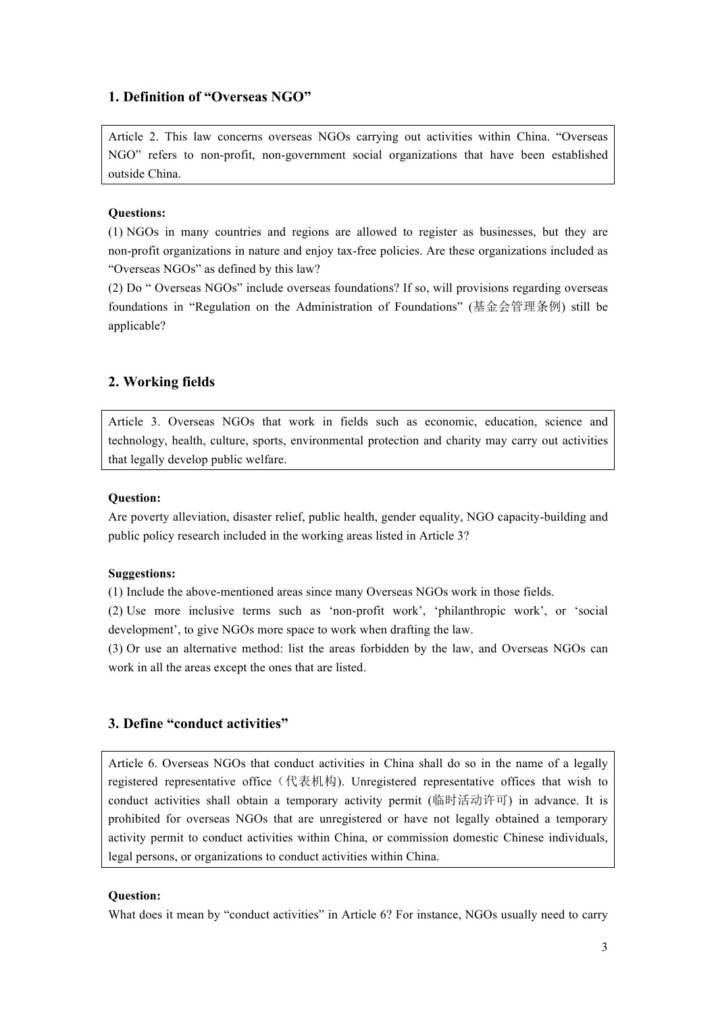### **1. Definition of "Overseas NGO"**

Article 2. This law concerns overseas NGOs carrying out activities within China. "Overseas NGO" refers to non-profit, non-government social organizations that have been established outside China.

#### **Questions:**

(1) NGOs in many countries and regions are allowed to register as businesses, but they are non-profit organizations in nature and enjoy tax-free policies. Are these organizations included as "Overseas NGOs" as defined by this law?

(2) Do " Overseas NGOs" include overseas foundations? If so, will provisions regarding overseas foundations in "Regulation on the Administration of Foundations" (基金会管理条例) still be applicable?

### **2. Working fields**

Article 3. Overseas NGOs that work in fields such as economic, education, science and technology, health, culture, sports, environmental protection and charity may carry out activities that legally develop public welfare.

## **Question:**

Are poverty alleviation, disaster relief, public health, gender equality, NGO capacity-building and public policy research included in the working areas listed in Article 3?

#### **Suggestions:**

(1) Include the above-mentioned areas since many Overseas NGOs work in those fields.

(2) Use more inclusive terms such as 'non-profit work', 'philanthropic work', or 'social development', to give NGOs more space to work when drafting the law.

(3) Or use an alternative method: list the areas forbidden by the law, and Overseas NGOs can work in all the areas except the ones that are listed.

# **3. Define "conduct activities"**

Article 6. Overseas NGOs that conduct activities in China shall do so in the name of a legally registered representative office (代表机构). Unregistered representative offices that wish to conduct activities shall obtain a temporary activity permit (临时活动许可) in advance. It is prohibited for overseas NGOs that are unregistered or have not legally obtained a temporary activity permit to conduct activities within China, or commission domestic Chinese individuals, legal persons, or organizations to conduct activities within China.

#### **Question:**

What does it mean by "conduct activities" in Article 6? For instance, NGOs usually need to carry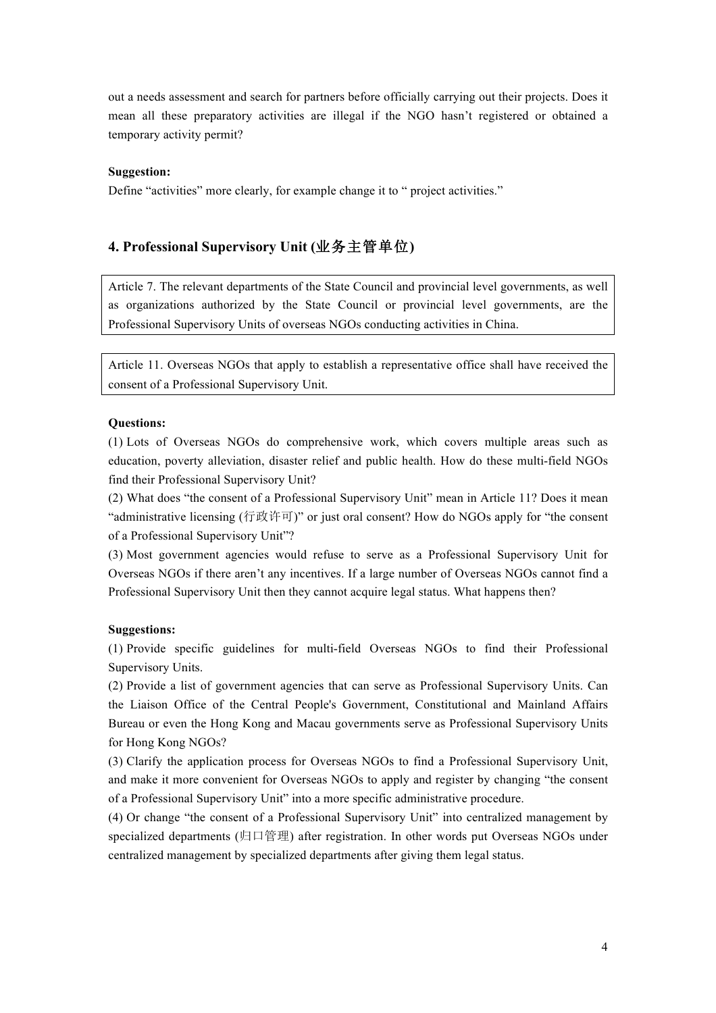out a needs assessment and search for partners before officially carrying out their projects. Does it mean all these preparatory activities are illegal if the NGO hasn't registered or obtained a temporary activity permit?

#### **Suggestion:**

Define "activities" more clearly, for example change it to " project activities."

# **4. Professional Supervisory Unit (**业务主管单位**)**

Article 7. The relevant departments of the State Council and provincial level governments, as well as organizations authorized by the State Council or provincial level governments, are the Professional Supervisory Units of overseas NGOs conducting activities in China.

Article 11. Overseas NGOs that apply to establish a representative office shall have received the consent of a Professional Supervisory Unit.

#### **Questions:**

(1) Lots of Overseas NGOs do comprehensive work, which covers multiple areas such as education, poverty alleviation, disaster relief and public health. How do these multi-field NGOs find their Professional Supervisory Unit?

(2) What does "the consent of a Professional Supervisory Unit" mean in Article 11? Does it mean "administrative licensing (行政许可)" or just oral consent? How do NGOs apply for "the consent of a Professional Supervisory Unit"?

(3) Most government agencies would refuse to serve as a Professional Supervisory Unit for Overseas NGOs if there aren't any incentives. If a large number of Overseas NGOs cannot find a Professional Supervisory Unit then they cannot acquire legal status. What happens then?

### **Suggestions:**

(1) Provide specific guidelines for multi-field Overseas NGOs to find their Professional Supervisory Units.

(2) Provide a list of government agencies that can serve as Professional Supervisory Units. Can the Liaison Office of the Central People's Government, Constitutional and Mainland Affairs Bureau or even the Hong Kong and Macau governments serve as Professional Supervisory Units for Hong Kong NGOs?

(3) Clarify the application process for Overseas NGOs to find a Professional Supervisory Unit, and make it more convenient for Overseas NGOs to apply and register by changing "the consent of a Professional Supervisory Unit" into a more specific administrative procedure.

(4) Or change "the consent of a Professional Supervisory Unit" into centralized management by specialized departments (归口管理) after registration. In other words put Overseas NGOs under centralized management by specialized departments after giving them legal status.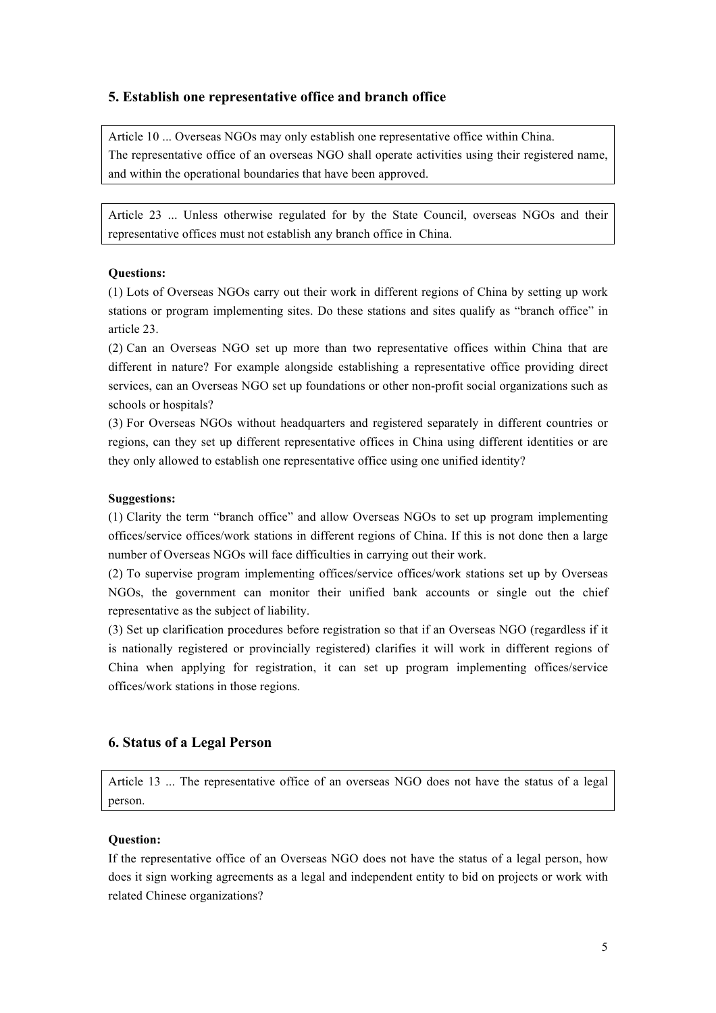# **5. Establish one representative office and branch office**

Article 10 ... Overseas NGOs may only establish one representative office within China. The representative office of an overseas NGO shall operate activities using their registered name, and within the operational boundaries that have been approved.

Article 23 ... Unless otherwise regulated for by the State Council, overseas NGOs and their representative offices must not establish any branch office in China.

#### **Questions:**

(1) Lots of Overseas NGOs carry out their work in different regions of China by setting up work stations or program implementing sites. Do these stations and sites qualify as "branch office" in article 23.

(2) Can an Overseas NGO set up more than two representative offices within China that are different in nature? For example alongside establishing a representative office providing direct services, can an Overseas NGO set up foundations or other non-profit social organizations such as schools or hospitals?

(3) For Overseas NGOs without headquarters and registered separately in different countries or regions, can they set up different representative offices in China using different identities or are they only allowed to establish one representative office using one unified identity?

#### **Suggestions:**

(1) Clarity the term "branch office" and allow Overseas NGOs to set up program implementing offices/service offices/work stations in different regions of China. If this is not done then a large number of Overseas NGOs will face difficulties in carrying out their work.

(2) To supervise program implementing offices/service offices/work stations set up by Overseas NGOs, the government can monitor their unified bank accounts or single out the chief representative as the subject of liability.

(3) Set up clarification procedures before registration so that if an Overseas NGO (regardless if it is nationally registered or provincially registered) clarifies it will work in different regions of China when applying for registration, it can set up program implementing offices/service offices/work stations in those regions.

## **6. Status of a Legal Person**

Article 13 ... The representative office of an overseas NGO does not have the status of a legal person.

### **Question:**

If the representative office of an Overseas NGO does not have the status of a legal person, how does it sign working agreements as a legal and independent entity to bid on projects or work with related Chinese organizations?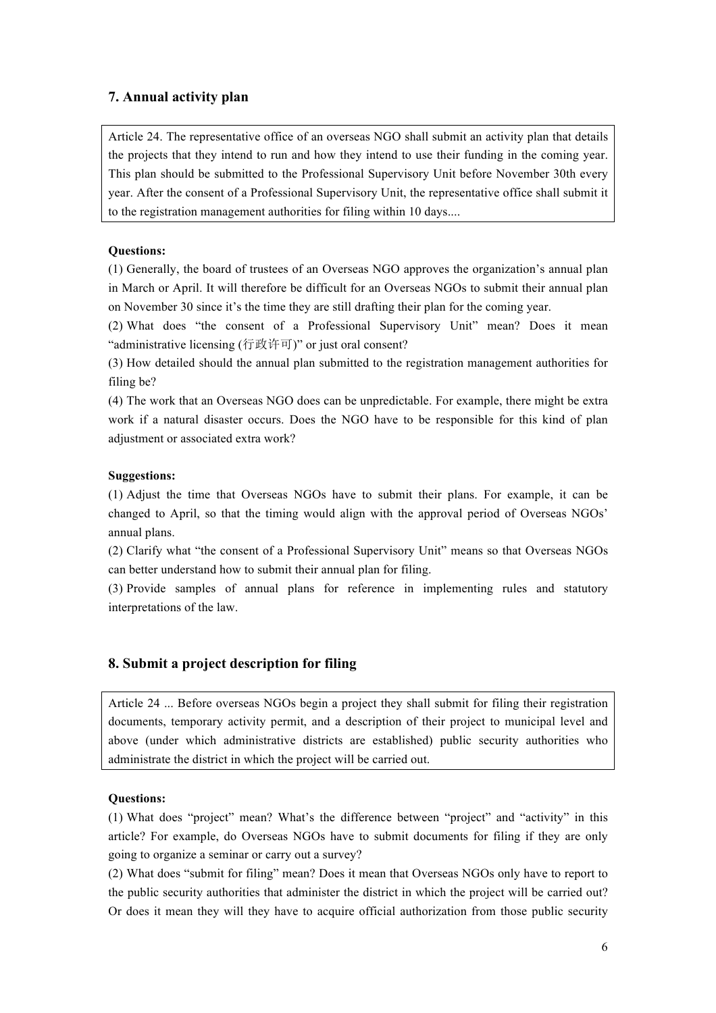# **7. Annual activity plan**

Article 24. The representative office of an overseas NGO shall submit an activity plan that details the projects that they intend to run and how they intend to use their funding in the coming year. This plan should be submitted to the Professional Supervisory Unit before November 30th every year. After the consent of a Professional Supervisory Unit, the representative office shall submit it to the registration management authorities for filing within 10 days....

# **Questions:**

(1) Generally, the board of trustees of an Overseas NGO approves the organization's annual plan in March or April. It will therefore be difficult for an Overseas NGOs to submit their annual plan on November 30 since it's the time they are still drafting their plan for the coming year.

(2) What does "the consent of a Professional Supervisory Unit" mean? Does it mean "administrative licensing (行政许可)" or just oral consent?

(3) How detailed should the annual plan submitted to the registration management authorities for filing be?

(4) The work that an Overseas NGO does can be unpredictable. For example, there might be extra work if a natural disaster occurs. Does the NGO have to be responsible for this kind of plan adjustment or associated extra work?

# **Suggestions:**

(1) Adjust the time that Overseas NGOs have to submit their plans. For example, it can be changed to April, so that the timing would align with the approval period of Overseas NGOs' annual plans.

(2) Clarify what "the consent of a Professional Supervisory Unit" means so that Overseas NGOs can better understand how to submit their annual plan for filing.

(3) Provide samples of annual plans for reference in implementing rules and statutory interpretations of the law.

# **8. Submit a project description for filing**

Article 24 ... Before overseas NGOs begin a project they shall submit for filing their registration documents, temporary activity permit, and a description of their project to municipal level and above (under which administrative districts are established) public security authorities who administrate the district in which the project will be carried out.

# **Questions:**

(1) What does "project" mean? What's the difference between "project" and "activity" in this article? For example, do Overseas NGOs have to submit documents for filing if they are only going to organize a seminar or carry out a survey?

(2) What does "submit for filing" mean? Does it mean that Overseas NGOs only have to report to the public security authorities that administer the district in which the project will be carried out? Or does it mean they will they have to acquire official authorization from those public security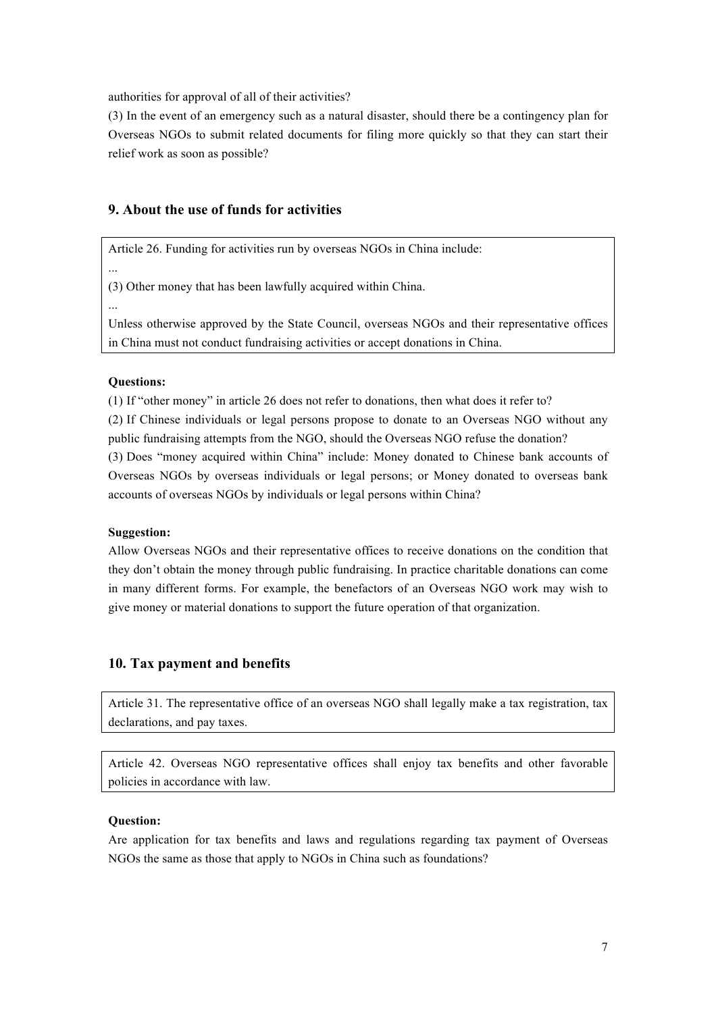authorities for approval of all of their activities?

(3) In the event of an emergency such as a natural disaster, should there be a contingency plan for Overseas NGOs to submit related documents for filing more quickly so that they can start their relief work as soon as possible?

# **9. About the use of funds for activities**

Article 26. Funding for activities run by overseas NGOs in China include:

(3) Other money that has been lawfully acquired within China.

...

...

Unless otherwise approved by the State Council, overseas NGOs and their representative offices in China must not conduct fundraising activities or accept donations in China.

#### **Questions:**

(1) If "other money" in article 26 does not refer to donations, then what does it refer to?

(2) If Chinese individuals or legal persons propose to donate to an Overseas NGO without any public fundraising attempts from the NGO, should the Overseas NGO refuse the donation?

(3) Does "money acquired within China" include: Money donated to Chinese bank accounts of Overseas NGOs by overseas individuals or legal persons; or Money donated to overseas bank accounts of overseas NGOs by individuals or legal persons within China?

#### **Suggestion:**

Allow Overseas NGOs and their representative offices to receive donations on the condition that they don't obtain the money through public fundraising. In practice charitable donations can come in many different forms. For example, the benefactors of an Overseas NGO work may wish to give money or material donations to support the future operation of that organization.

### **10. Tax payment and benefits**

Article 31. The representative office of an overseas NGO shall legally make a tax registration, tax declarations, and pay taxes.

Article 42. Overseas NGO representative offices shall enjoy tax benefits and other favorable policies in accordance with law.

# **Question:**

Are application for tax benefits and laws and regulations regarding tax payment of Overseas NGOs the same as those that apply to NGOs in China such as foundations?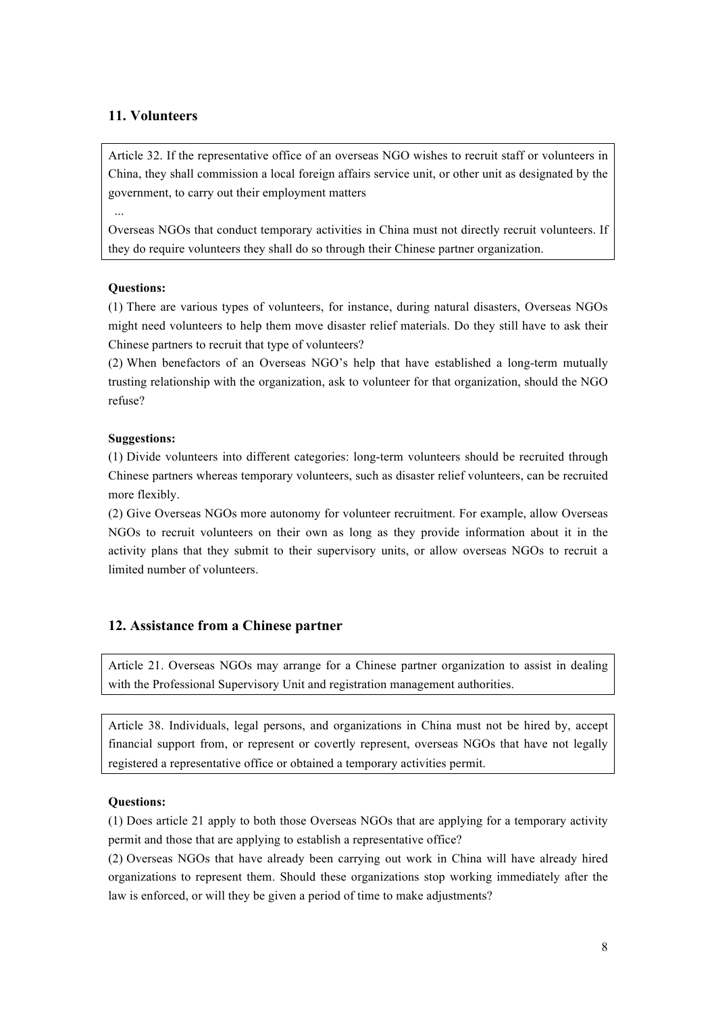# **11. Volunteers**

Article 32. If the representative office of an overseas NGO wishes to recruit staff or volunteers in China, they shall commission a local foreign affairs service unit, or other unit as designated by the government, to carry out their employment matters

Overseas NGOs that conduct temporary activities in China must not directly recruit volunteers. If they do require volunteers they shall do so through their Chinese partner organization.

### **Questions:**

...

(1) There are various types of volunteers, for instance, during natural disasters, Overseas NGOs might need volunteers to help them move disaster relief materials. Do they still have to ask their Chinese partners to recruit that type of volunteers?

(2) When benefactors of an Overseas NGO's help that have established a long-term mutually trusting relationship with the organization, ask to volunteer for that organization, should the NGO refuse?

# **Suggestions:**

(1) Divide volunteers into different categories: long-term volunteers should be recruited through Chinese partners whereas temporary volunteers, such as disaster relief volunteers, can be recruited more flexibly.

(2) Give Overseas NGOs more autonomy for volunteer recruitment. For example, allow Overseas NGOs to recruit volunteers on their own as long as they provide information about it in the activity plans that they submit to their supervisory units, or allow overseas NGOs to recruit a limited number of volunteers.

# **12. Assistance from a Chinese partner**

Article 21. Overseas NGOs may arrange for a Chinese partner organization to assist in dealing with the Professional Supervisory Unit and registration management authorities.

Article 38. Individuals, legal persons, and organizations in China must not be hired by, accept financial support from, or represent or covertly represent, overseas NGOs that have not legally registered a representative office or obtained a temporary activities permit.

### **Questions:**

(1) Does article 21 apply to both those Overseas NGOs that are applying for a temporary activity permit and those that are applying to establish a representative office?

(2) Overseas NGOs that have already been carrying out work in China will have already hired organizations to represent them. Should these organizations stop working immediately after the law is enforced, or will they be given a period of time to make adjustments?